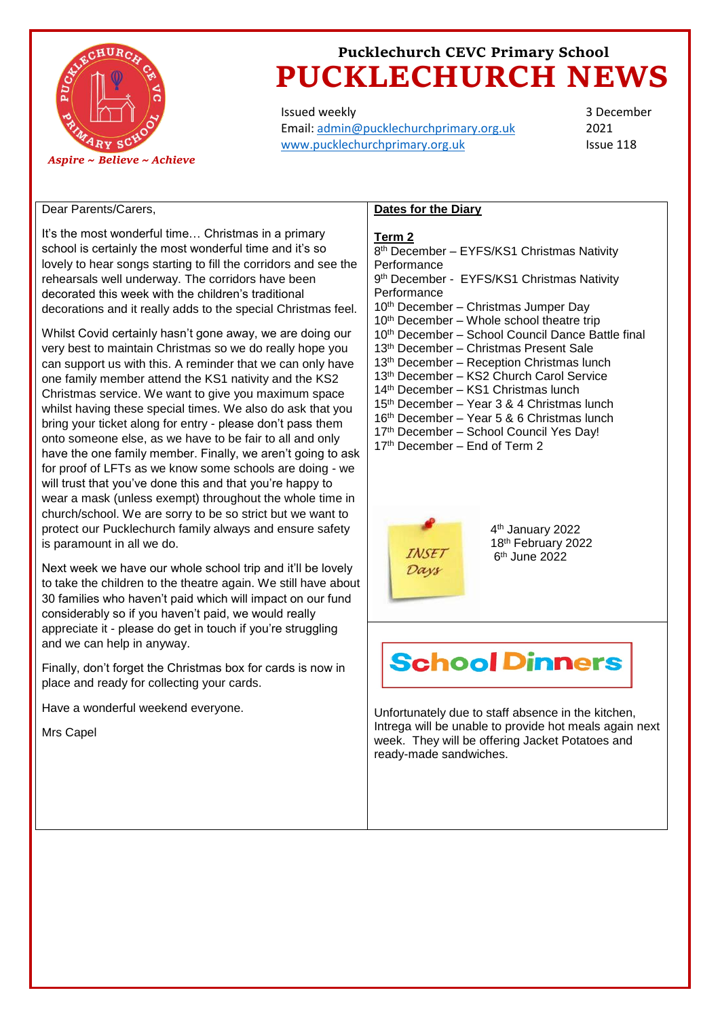

Issued weekly Email: [admin@pucklechurchprimary.org.uk](mailto:admin@pucklechurchprimary.org.uk) [www.pucklechurchprimary.org.uk](http://www.pucklechurchprimary.org.uk/)

3 December 2021 Issue 118

# Dear Parents/Carers,

It's the most wonderful time… Christmas in a primary school is certainly the most wonderful time and it's so lovely to hear songs starting to fill the corridors and see the rehearsals well underway. The corridors have been decorated this week with the children's traditional decorations and it really adds to the special Christmas feel.

Whilst Covid certainly hasn't gone away, we are doing our very best to maintain Christmas so we do really hope you can support us with this. A reminder that we can only have one family member attend the KS1 nativity and the KS2 Christmas service. We want to give you maximum space whilst having these special times. We also do ask that you bring your ticket along for entry - please don't pass them onto someone else, as we have to be fair to all and only have the one family member. Finally, we aren't going to ask for proof of LFTs as we know some schools are doing - we will trust that you've done this and that you're happy to wear a mask (unless exempt) throughout the whole time in church/school. We are sorry to be so strict but we want to protect our Pucklechurch family always and ensure safety is paramount in all we do.

Next week we have our whole school trip and it'll be lovely to take the children to the theatre again. We still have about 30 families who haven't paid which will impact on our fund considerably so if you haven't paid, we would really appreciate it - please do get in touch if you're struggling and we can help in anyway.

Finally, don't forget the Christmas box for cards is now in place and ready for collecting your cards.

Have a wonderful weekend everyone.

Mrs Capel

### **Dates for the Diary**

### **Term 2**

8<sup>th</sup> December - EYFS/KS1 Christmas Nativity Performance 9<sup>th</sup> December - EYFS/KS1 Christmas Nativity **Performance** 10<sup>th</sup> December – Christmas Jumper Day 10<sup>th</sup> December – Whole school theatre trip 10th December – School Council Dance Battle final 13th December – Christmas Present Sale 13th December – Reception Christmas lunch 13th December – KS2 Church Carol Service 14th December – KS1 Christmas lunch 15th December – Year 3 & 4 Christmas lunch 16th December – Year 5 & 6 Christmas lunch 17<sup>th</sup> December - School Council Yes Day! 17<sup>th</sup> December – End of Term 2



4 th January 2022 18th February 2022 6 th June 2022

# **School Dinners**

Unfortunately due to staff absence in the kitchen, Intrega will be unable to provide hot meals again next week. They will be offering Jacket Potatoes and ready-made sandwiches.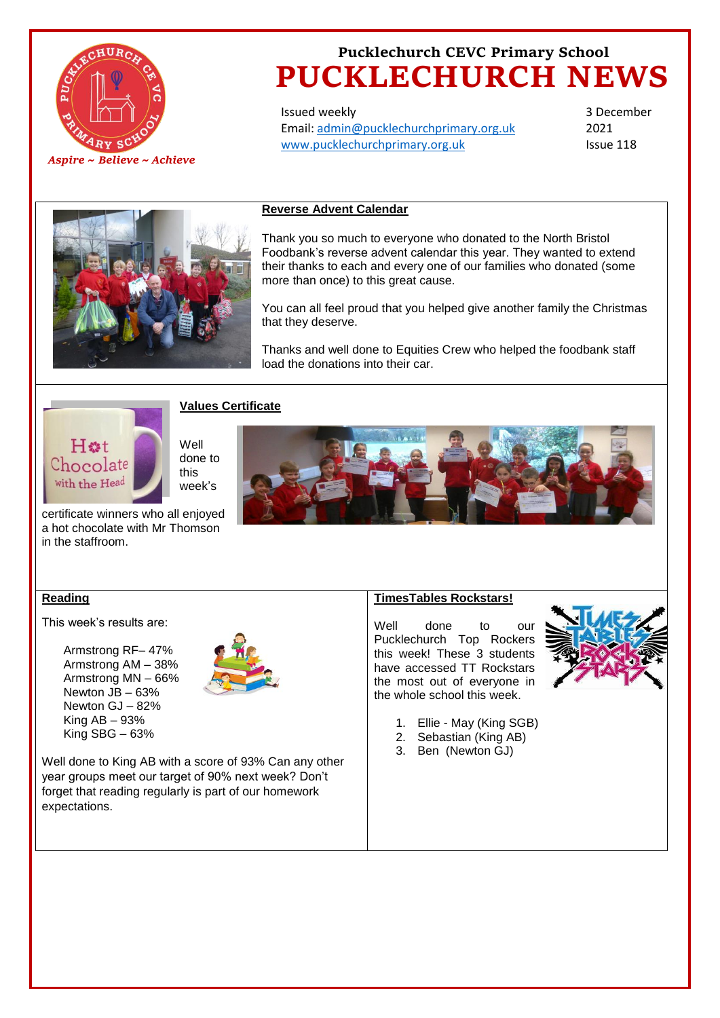

Issued weekly Email: [admin@pucklechurchprimary.org.uk](mailto:admin@pucklechurchprimary.org.uk) [www.pucklechurchprimary.org.uk](http://www.pucklechurchprimary.org.uk/)

3 December 2021 Issue 118



# **Reverse Advent Calendar**

Thank you so much to everyone who donated to the North Bristol Foodbank's reverse advent calendar this year. They wanted to extend their thanks to each and every one of our families who donated (some more than once) to this great cause.

You can all feel proud that you helped give another family the Christmas that they deserve.

Thanks and well done to Equities Crew who helped the foodbank staff load the donations into their car.



# **Values Certificate**

Well done to this week's

certificate winners who all enjoyed a hot chocolate with Mr Thomson in the staffroom.



## **Reading**

This week's results are:

Armstrong RF– 47% Armstrong AM – 38% Armstrong MN – 66% Newton JB – 63% Newton GJ – 82% King AB – 93% King SBG – 63%



Well done to King AB with a score of 93% Can any other year groups meet our target of 90% next week? Don't forget that reading regularly is part of our homework expectations.

## **TimesTables Rockstars!**

Well done to our Pucklechurch Top Rockers this week! These 3 students have accessed TT Rockstars the most out of everyone in the whole school this week.



- 1. Ellie May (King SGB)
- 2. Sebastian (King AB)
- 3. Ben (Newton GJ)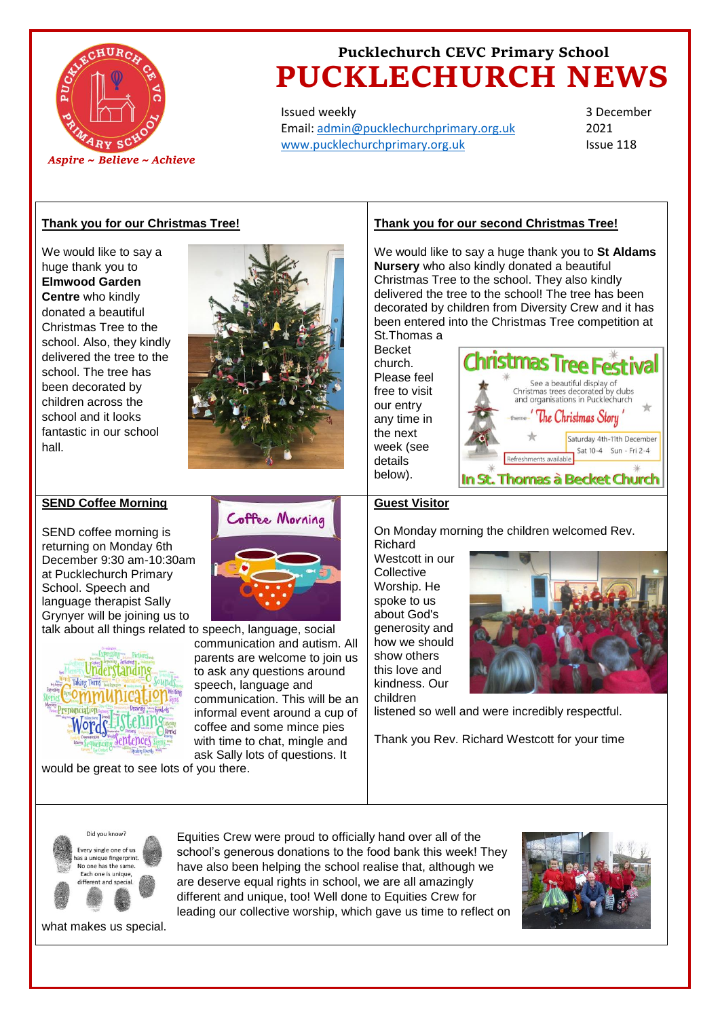

Issued weekly Email: [admin@pucklechurchprimary.org.uk](mailto:admin@pucklechurchprimary.org.uk) [www.pucklechurchprimary.org.uk](http://www.pucklechurchprimary.org.uk/)

3 December 2021 Issue 118

## **Thank you for our Christmas Tree!**

We would like to say a huge thank you to **Elmwood Garden Centre** who kindly donated a beautiful Christmas Tree to the school. Also, they kindly delivered the tree to the school. The tree has been decorated by children across the school and it looks fantastic in our school hall.



# **SEND Coffee Morning**

SEND coffee morning is returning on Monday 6th December 9:30 am-10:30am at Pucklechurch Primary School. Speech and language therapist Sally Grynyer will be joining us to talk about all things related to speech, language, social



would be great to see lots of you there.

# Coffee Morning

communication and autism. All parents are welcome to join us to ask any questions around speech, language and communication. This will be an informal event around a cup of coffee and some mince pies with time to chat, mingle and ask Sally lots of questions. It

# **Thank you for our second Christmas Tree!**

We would like to say a huge thank you to **St Aldams Nursery** who also kindly donated a beautiful Christmas Tree to the school. They also kindly delivered the tree to the school! The tree has been decorated by children from Diversity Crew and it has been entered into the Christmas Tree competition at St.Thomas a

Becket church. Please feel free to visit our entry any time in the next week (see details below).



# **Guest Visitor**

On Monday morning the children welcomed Rev. Richard

Westcott in our **Collective** Worship. He spoke to us about God's generosity and how we should show others this love and kindness. Our children



listened so well and were incredibly respectful.

Thank you Rev. Richard Westcott for your time



Equities Crew were proud to officially hand over all of the school's generous donations to the food bank this week! They have also been helping the school realise that, although we are deserve equal rights in school, we are all amazingly different and unique, too! Well done to Equities Crew for leading our collective worship, which gave us time to reflect on



what makes us special.